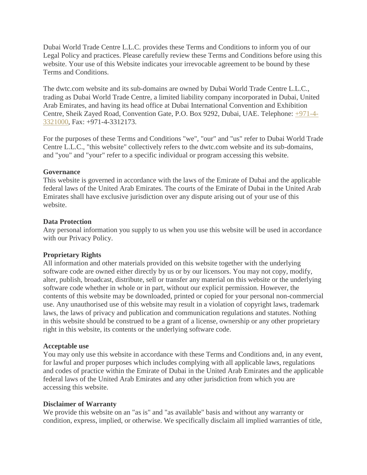Dubai World Trade Centre L.L.C. provides these Terms and Conditions to inform you of our Legal Policy and practices. Please carefully review these Terms and Conditions before using this website. Your use of this Website indicates your irrevocable agreement to be bound by these Terms and Conditions.

The dwtc.com website and its sub-domains are owned by Dubai World Trade Centre L.L.C., trading as Dubai World Trade Centre, a limited liability company incorporated in Dubai, United Arab Emirates, and having its head office at Dubai International Convention and Exhibition Centre, Sheik Zayed Road, Convention Gate, P.O. Box 9292, Dubai, UAE. Telephone: [+971-4-](tel:+971-4-3321000) [3321000,](tel:+971-4-3321000) Fax: +971-4-3312173.

For the purposes of these Terms and Conditions "we", "our" and "us" refer to Dubai World Trade Centre L.L.C., "this website" collectively refers to the dwtc.com website and its sub-domains, and "you" and "your" refer to a specific individual or program accessing this website.

#### **Governance**

This website is governed in accordance with the laws of the Emirate of Dubai and the applicable federal laws of the United Arab Emirates. The courts of the Emirate of Dubai in the United Arab Emirates shall have exclusive jurisdiction over any dispute arising out of your use of this website.

## **Data Protection**

Any personal information you supply to us when you use this website will be used in accordance with our Privacy Policy.

# **Proprietary Rights**

All information and other materials provided on this website together with the underlying software code are owned either directly by us or by our licensors. You may not copy, modify, alter, publish, broadcast, distribute, sell or transfer any material on this website or the underlying software code whether in whole or in part, without our explicit permission. However, the contents of this website may be downloaded, printed or copied for your personal non-commercial use. Any unauthorised use of this website may result in a violation of copyright laws, trademark laws, the laws of privacy and publication and communication regulations and statutes. Nothing in this website should be construed to be a grant of a license, ownership or any other proprietary right in this website, its contents or the underlying software code.

#### **Acceptable use**

You may only use this website in accordance with these Terms and Conditions and, in any event, for lawful and proper purposes which includes complying with all applicable laws, regulations and codes of practice within the Emirate of Dubai in the United Arab Emirates and the applicable federal laws of the United Arab Emirates and any other jurisdiction from which you are accessing this website.

#### **Disclaimer of Warranty**

We provide this website on an "as is" and "as available" basis and without any warranty or condition, express, implied, or otherwise. We specifically disclaim all implied warranties of title,